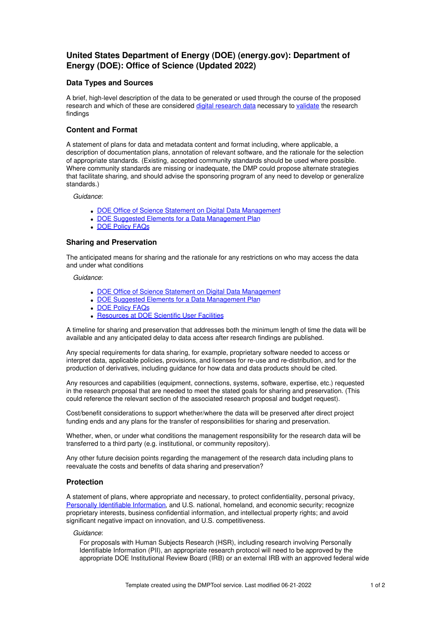# **United States Department of Energy (DOE) (energy.gov): Department of Energy (DOE): Office of Science (Updated 2022)**

### **Data Types and Sources**

A brief, high-level description of the data to be generated or used through the course of the proposed research and which of these are considered digital [research](https://science.osti.gov/Funding-Opportunities/Digital-Data-Management#DigitalResearchData) data necessary to [validate](https://science.osti.gov/Funding-Opportunities/Digital-Data-Management#Validate) the research findings

## **Content and Format**

A statement of plans for data and metadata content and format including, where applicable, a description of documentation plans, annotation of relevant software, and the rationale for the selection of appropriate standards. (Existing, accepted community standards should be used where possible. Where community standards are missing or inadequate, the DMP could propose alternate strategies that facilitate sharing, and should advise the sponsoring program of any need to develop or generalize standards.)

*Guidance*:

- DOE Office of Science Statement on Digital Data [Management](https://science.energy.gov/funding-opportunities/digital-data-management)
- DOE Suggested Elements for a Data [Management](https://www.energy.gov/datamanagement/doe-policy-digital-research-data-management-suggested-elements-data-management-plan) Plan
- DOE [Policy](https://www.energy.gov/datamanagement/doe-policy-digital-research-data-management-faqs) FAQs

#### **Sharing and Preservation**

The anticipated means for sharing and the rationale for any restrictions on who may access the data and under what conditions

*Guidance*:

- DOE Office of Science Statement on Digital Data [Management](https://science.energy.gov/funding-opportunities/digital-data-management)
- DOE Suggested Elements for a Data [Management](https://www.energy.gov/datamanagement/doe-policy-digital-research-data-management-suggested-elements-data-management-plan) Plan
- DOE [Policy](https://www.energy.gov/datamanagement/doe-policy-digital-research-data-management-faqs) FAQs
- **[Resources](https://www.energy.gov/datamanagement/doe-policy-digital-research-data-management-resources) at DOE Scientific User Facilities**

A timeline for sharing and preservation that addresses both the minimum length of time the data will be available and any anticipated delay to data access after research findings are published.

Any special requirements for data sharing, for example, proprietary software needed to access or interpret data, applicable policies, provisions, and licenses for re-use and re-distribution, and for the production of derivatives, including guidance for how data and data products should be cited.

Any resources and capabilities (equipment, connections, systems, software, expertise, etc.) requested in the research proposal that are needed to meet the stated goals for sharing and preservation. (This could reference the relevant section of the associated research proposal and budget request).

Cost/benefit considerations to support whether/where the data will be preserved after direct project funding ends and any plans for the transfer of responsibilities for sharing and preservation.

Whether, when, or under what conditions the management responsibility for the research data will be transferred to a third party (e.g. institutional, or community repository).

Any other future decision points regarding the management of the research data including plans to reevaluate the costs and benefits of data sharing and preservation?

#### **Protection**

A statement of plans, where appropriate and necessary, to protect confidentiality, personal privacy, Personally Identifiable [Information](https://science.osti.gov/Funding-Opportunities/Digital-Data-Management/FAQs#HSRFAQ), and U.S. national, homeland, and economic security; recognize proprietary interests, business confidential information, and intellectual property rights; and avoid significant negative impact on innovation, and U.S. competitiveness.

#### *Guidance*:

For proposals with Human Subjects Research (HSR), including research involving Personally Identifiable Information (PII), an appropriate research protocol will need to be approved by the appropriate DOE Institutional Review Board (IRB) or an external IRB with an approved federal wide